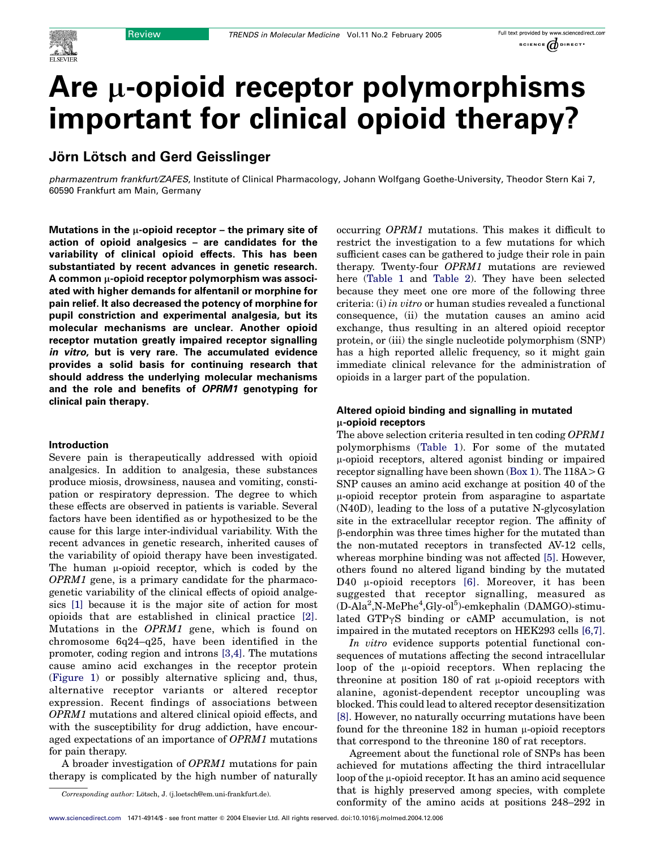# Are  $\mu$ -opioid receptor polymorphisms important for clinical opioid therapy?

# Jörn Lötsch and Gerd Geisslinger

pharmazentrum frankfurt/ZAFES, Institute of Clinical Pharmacology, Johann Wolfgang Goethe-University, Theodor Stern Kai 7, 60590 Frankfurt am Main, Germany

Mutations in the  $\mu$ -opioid receptor – the primary site of action of opioid analgesics – are candidates for the variability of clinical opioid effects. This has been substantiated by recent advances in genetic research. A common  $\mu$ -opioid receptor polymorphism was associated with higher demands for alfentanil or morphine for pain relief. It also decreased the potency of morphine for pupil constriction and experimental analgesia, but its molecular mechanisms are unclear. Another opioid receptor mutation greatly impaired receptor signalling in vitro, but is very rare. The accumulated evidence provides a solid basis for continuing research that should address the underlying molecular mechanisms and the role and benefits of OPRM1 genotyping for clinical pain therapy.

#### Introduction

Severe pain is therapeutically addressed with opioid analgesics. In addition to analgesia, these substances produce miosis, drowsiness, nausea and vomiting, constipation or respiratory depression. The degree to which these effects are observed in patients is variable. Several factors have been identified as or hypothesized to be the cause for this large inter-individual variability. With the recent advances in genetic research, inherited causes of the variability of opioid therapy have been investigated. The human  $\mu$ -opioid receptor, which is coded by the OPRM1 gene, is a primary candidate for the pharmacogenetic variability of the clinical effects of opioid analgesics [\[1\]](#page-6-0) because it is the major site of action for most opioids that are established in clinical practice [\[2\]](#page-6-0). Mutations in the OPRM1 gene, which is found on chromosome 6q24–q25, have been identified in the promoter, coding region and introns [\[3,4\].](#page-6-0) The mutations cause amino acid exchanges in the receptor protein ([Figure 1\)](#page-1-0) or possibly alternative splicing and, thus, alternative receptor variants or altered receptor expression. Recent findings of associations between OPRM1 mutations and altered clinical opioid effects, and with the susceptibility for drug addiction, have encouraged expectations of an importance of OPRM1 mutations for pain therapy.

A broader investigation of OPRM1 mutations for pain therapy is complicated by the high number of naturally occurring OPRM1 mutations. This makes it difficult to restrict the investigation to a few mutations for which sufficient cases can be gathered to judge their role in pain therapy. Twenty-four OPRM1 mutations are reviewed here [\(Table 1](#page-2-0) and [Table 2\)](#page-3-0). They have been selected because they meet one ore more of the following three criteria: (i) in vitro or human studies revealed a functional consequence, (ii) the mutation causes an amino acid exchange, thus resulting in an altered opioid receptor protein, or (iii) the single nucleotide polymorphism (SNP) has a high reported allelic frequency, so it might gain immediate clinical relevance for the administration of opioids in a larger part of the population.

# Altered opioid binding and signalling in mutated  $\mu$ -opioid receptors

The above selection criteria resulted in ten coding OPRM1 polymorphisms [\(Table 1\)](#page-2-0). For some of the mutated m-opioid receptors, altered agonist binding or impaired receptor signalling have been shown (Box 1). The  $118A > G$ SNP causes an amino acid exchange at position 40 of the  $\mu$ -opioid receptor protein from asparagine to aspartate (N40D), leading to the loss of a putative N-glycosylation site in the extracellular receptor region. The affinity of b-endorphin was three times higher for the mutated than the non-mutated receptors in transfected AV-12 cells, whereas morphine binding was not affected [\[5\].](#page-6-0) However, others found no altered ligand binding by the mutated D40  $\mu$ -opioid receptors [\[6\].](#page-6-0) Moreover, it has been suggested that receptor signalling, measured as (D-Ala<sup>2</sup>,N-MePhe<sup>4</sup>,Gly-ol<sup>5</sup>)-emkephalin (DAMGO)-stimulated GTP $\gamma$ S binding or cAMP accumulation, is not impaired in the mutated receptors on HEK293 cells [\[6,7\]](#page-6-0).

In vitro evidence supports potential functional consequences of mutations affecting the second intracellular loop of the  $\mu$ -opioid receptors. When replacing the threonine at position 180 of rat  $\mu$ -opioid receptors with alanine, agonist-dependent receptor uncoupling was blocked. This could lead to altered receptor desensitization [\[8\]](#page-6-0). However, no naturally occurring mutations have been found for the threonine  $182$  in human  $\mu$ -opioid receptors that correspond to the threonine 180 of rat receptors.

Agreement about the functional role of SNPs has been achieved for mutations affecting the third intracellular loop of the  $\mu$ -opioid receptor. It has an amino acid sequence that is highly preserved among species, with complete conformity of the amino acids at positions 248–292 in

Corresponding author: Lötsch, J. (j.loetsch@em.uni-frankfurt.de).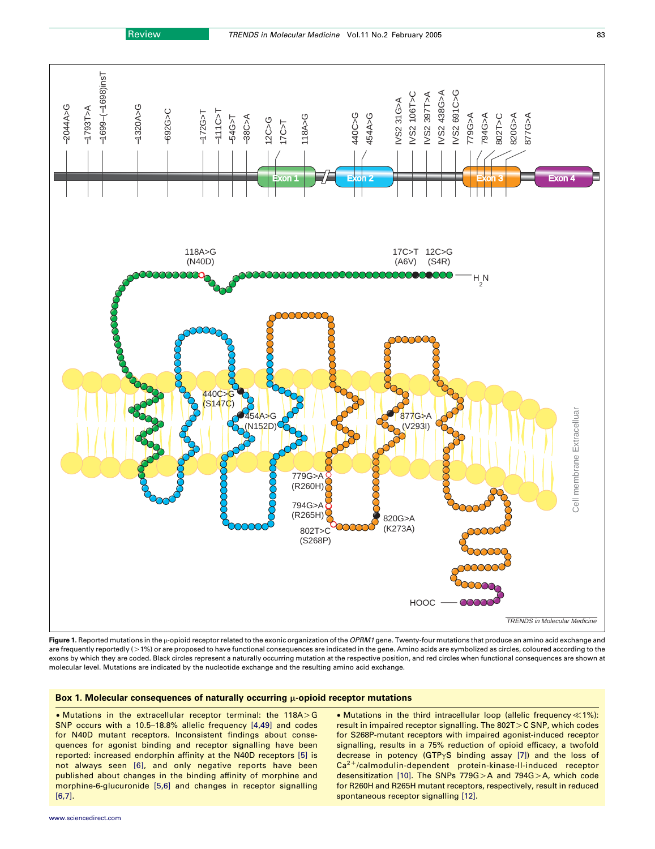<span id="page-1-0"></span>

Figure 1. Reported mutations in the  $\mu$ -opioid receptor related to the exonic organization of the OPRM1 gene. Twenty-four mutations that produce an amino acid exchange and are frequently reportedly  $(>1%)$  or are proposed to have functional consequences are indicated in the gene. Amino acids are symbolized as circles, coloured according to the exons by which they are coded. Black circles represent a naturally occurring mutation at the respective position, and red circles when functional consequences are shown at molecular level. Mutations are indicated by the nucleotide exchange and the resulting amino acid exchange.

#### Box 1. Molecular consequences of naturally occurring  $\mu$ -opioid receptor mutations

 $\bullet$  Mutations in the extracellular receptor terminal: the 118A $>$ G SNP occurs with a 10.5–18.8% allelic frequency [\[4,49\]](#page-6-0) and codes for N40D mutant receptors. Inconsistent findings about consequences for agonist binding and receptor signalling have been reported: increased endorphin affinity at the N40D receptors [\[5\]](#page-6-0) is not always seen [\[6\],](#page-6-0) and only negative reports have been published about changes in the binding affinity of morphine and morphine-6-glucuronide [\[5,6\]](#page-6-0) and changes in receptor signalling [\[6,7\].](#page-6-0)

• Mutations in the third intracellular loop (allelic frequency $\ll$ 1%): result in impaired receptor signalling. The  $802T>C$  SNP, which codes for S268P-mutant receptors with impaired agonist-induced receptor signalling, results in a 75% reduction of opioid efficacy, a twofold decrease in potency (GTP $\gamma$ S binding assay [\[7\]\)](#page-6-0) and the loss of  $Ca<sup>2+</sup>/calmodulin-dependent protein-kinase-II-induced receptor$ desensitization [\[10\]](#page-6-0). The SNPs 779G $>$ A and 794G $>$ A, which code for R260H and R265H mutant receptors, respectively, result in reduced spontaneous receptor signalling [\[12\].](#page-6-0)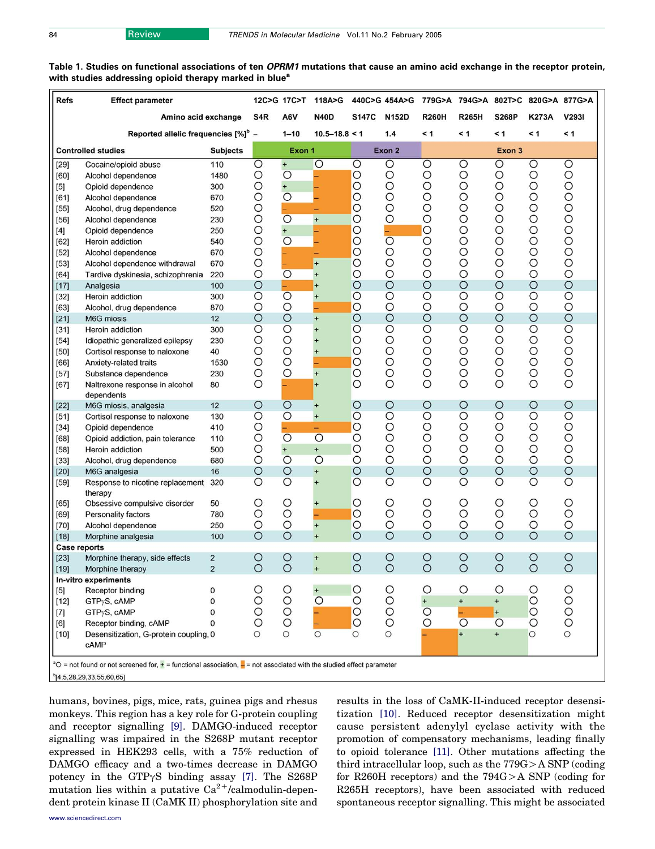<span id="page-2-0"></span>

| Table 1. Studies on functional associations of ten OPRM1 mutations that cause an amino acid exchange in the receptor protein, |  |  |  |  |  |
|-------------------------------------------------------------------------------------------------------------------------------|--|--|--|--|--|
| with studies addressing opioid therapy marked in blue <sup>a</sup>                                                            |  |  |  |  |  |

| <b>Refs</b>                                  | <b>Effect parameter</b>                                                                                                            |                |                    | 12C>G 17C>T           | 118A>G                      |                    | 440C>G 454A>G        | 779G>A 794G>A 802T>C 820G>A 877G>A |                    |              |              |                    |
|----------------------------------------------|------------------------------------------------------------------------------------------------------------------------------------|----------------|--------------------|-----------------------|-----------------------------|--------------------|----------------------|------------------------------------|--------------------|--------------|--------------|--------------------|
|                                              | Amino acid exchange                                                                                                                |                | S4R                | A6V                   | <b>N40D</b>                 | <b>S147C</b>       | <b>N152D</b>         | <b>R260H</b>                       | <b>R265H</b>       | <b>S268P</b> | K273A        | V2931              |
|                                              | Reported allelic frequencies [%] <sup>b</sup> -                                                                                    |                |                    | $1 - 10$              | $10.5 - 18.8 < 1$           | 1.4                |                      | $\leq 1$                           | < 1                | $\leq 1$     | < 1          | ≺ 1                |
| <b>Controlled studies</b><br><b>Subjects</b> |                                                                                                                                    |                | Exon 1             |                       | Exon 2                      |                    |                      |                                    | Exon 3             |              |              |                    |
| $[29]$                                       | Cocaine/opioid abuse                                                                                                               | 110            | O                  | $+$                   | $\circ$                     | O                  | O                    | O                                  | O                  | O            | O            | O                  |
| [60]                                         | Alcohol dependence                                                                                                                 | 1480           | O                  | $\overline{O}$        |                             | $\circ$            | $\circ$              | O                                  | O                  | О            | O            | $\circ$            |
| $[5]$                                        | Opioid dependence                                                                                                                  | 300            | $\circ$            | $\ddot{}$             |                             | $\circ$            | $\circ$              | O                                  | $\circ$            | $\circ$      | O            | O                  |
| [61]                                         | Alcohol dependence                                                                                                                 | 670            | $\circ$            | $\overline{O}$        |                             | $\circ$            | $\circ$              | $\circ$                            | $\circ$            | O            | O            | $\circ$<br>$\circ$ |
| $[55]$                                       | Alcohol, drug dependence                                                                                                           | 520            | O<br>$\circ$       | $\overline{O}$        | $\overline{+}$              | $\circ$<br>$\circ$ | $\circ$<br>$\circ$   | $\circ$<br>$\circ$                 | $\circ$<br>$\circ$ | O<br>O       | O<br>$\circ$ | $\circ$            |
| $[56]$                                       | Alcohol dependence                                                                                                                 | 230            |                    |                       |                             |                    |                      | $\circ$                            | $\circ$            | O            | $\circ$      | $\circ$            |
| $[4]$                                        | Opioid dependence                                                                                                                  | 250            | $\circ$<br>$\circ$ | $+$<br>$\overline{O}$ |                             | $\circ$<br>$\circ$ | $\frac{1}{\sqrt{2}}$ | $\circ$                            | $\circ$            | O            | $\circ$      | $\circ$            |
| $[62]$                                       | Heroin addiction                                                                                                                   | 540            |                    |                       |                             |                    |                      |                                    |                    |              |              |                    |
| $[52]$                                       | Alcohol dependence                                                                                                                 | 670            | $\circ$            |                       | -<br>$+$                    | $\circ$            | O<br>$\circ$         | O                                  | O                  | O<br>O       | O<br>$\circ$ | $\circ$<br>$\circ$ |
| $[53]$                                       | Alcohol dependence withdrawal                                                                                                      | 670            | $\circ$            |                       |                             | $\circ$            |                      | $\circ$                            | O                  |              |              | $\circ$            |
| $[64]$                                       | Tardive dyskinesia, schizophrenia                                                                                                  | 220            | $\circ$            | $\overline{O}$        | $\ddot{}$                   | $\circ$            | $\circ$              | $\circ$                            | $\circ$            | $\circ$      | $\circ$      |                    |
| $[17]$                                       | Analgesia                                                                                                                          | 100            | $\circ$            |                       | $\ddot{}$                   | $\circ$            | $\circ$              | $\circ$                            | $\circ$            | $\circ$      | $\circ$      | $\circ$            |
| $[32]$                                       | Heroin addiction                                                                                                                   | 300            | $\circ$            | $\overline{O}$        | $\ddot{}$                   | $\circ$            | $\circ$              | $\circ$                            | $\circ$            | O            | O            | $\circ$            |
| $[63]$                                       | Alcohol, drug dependence                                                                                                           | 870            | $\circ$            | $\circ$               | ÷,                          | $\circ$            | $\circ$              | $\circ$                            | $\circ$            | $\circ$      | O            | O                  |
| $[21]$                                       | M6G miosis                                                                                                                         | 12             | $\circ$            | $\circ$               | $+$                         | $\circ$            | $\circ$              | $\circ$                            | $\circ$            | $\circ$      | $\circ$      | $\circ$            |
| $[31]$                                       | Heroin addiction                                                                                                                   | 300            | $\circ$            | $\circ$               | $\ddot{}$                   | $\circ$            | $\circ$              | $\circ$                            | $\circ$            | $\circ$      | $\circ$      | $\circ$            |
| $[54]$                                       | Idiopathic generalized epilepsy                                                                                                    | 230            | $\circ$            | O                     | $\ddot{}$                   | $\circ$            | $\circ$              | $\circ$                            | O                  | O            | O            | $\circ$            |
| $[50]$                                       | Cortisol response to naloxone                                                                                                      | 40             | $\circ$            | $\circ$               | $^{+}$                      | $\circ$            | $\circ$              | $\circ$                            | $\circ$            | O            | O            | $\circ$            |
| [66]                                         | Anxiety-related traits                                                                                                             | 1530           | O                  | $\circ$               |                             | $\circ$            | $\circ$              | $\circ$                            | O                  | O            | O            | $\circ$            |
| $[57]$                                       | Substance dependence                                                                                                               | 230            | O                  | $\circ$               | $\overline{+}$              | $\circ$            | $\circ$              | $\circ$                            | O                  | O            | O            | $\circ$            |
| $[67]$                                       | Naltrexone response in alcohol                                                                                                     | 80             | $\circ$            |                       | $\ddot{}$                   | O                  | $\circ$              | $\circ$                            | $\circ$            | $\circ$      | $\circ$      | $\circ$            |
|                                              | dependents                                                                                                                         |                | $\circ$            | $\circ$               |                             |                    | $\circ$              | $\circ$                            | $\circ$            | $\circ$      | $\circ$      | $\circ$            |
| $[22]$                                       | M6G miosis, analgesia                                                                                                              | 12             | $\circ$            | $\circ$               | $\ddot{}$                   | $\circ$<br>$\circ$ | $\circ$              | $\circ$                            | $\circ$            | $\circ$      | $\circ$      | $\circ$            |
| $[51]$                                       | Cortisol response to naloxone                                                                                                      | 130            | O                  |                       | $\ddot{}$                   | $\circ$            | $\circ$              | $\circ$                            | $\circ$            | O            | O            | $\circ$            |
| $[34]$                                       | Opioid dependence                                                                                                                  | 410            | $\circ$            | $\overline{O}$        | ÷<br>$\overline{O}$         | $\circ$            | $\circ$              | $\circ$                            | $\circ$            | O            | $\circ$      | $\circ$            |
| [68]                                         | Opioid addiction, pain tolerance                                                                                                   | 110            | O                  | $+$                   |                             | $\circ$            | $\circ$              | O                                  | O                  | $\circ$      | $\circ$      | O                  |
| $[58]$                                       | Heroin addiction                                                                                                                   | 500            | $\circ$            | $\circ$               | $\ddot{}$<br>$\overline{O}$ | $\circ$            | $\circ$              | $\circ$                            | $\circ$            | $\circ$      | $\circ$      | $\circ$            |
| $[33]$                                       | Alcohol, drug dependence                                                                                                           | 680            | $\circ$            | $\circ$               |                             | $\circ$            | $\circ$              | $\circ$                            | $\circ$            | $\circ$      | $\circ$      | $\circ$            |
| [20]                                         | M6G analgesia                                                                                                                      | 16             | $\circ$            | $\circ$               | $\ddot{}$<br>$\ddot{}$      | $\circ$            | $\circ$              | $\circ$                            | $\circ$            | O            | $\circ$      | $\circ$            |
| $[59]$                                       | Response to nicotine replacement                                                                                                   | 320            |                    |                       |                             |                    |                      |                                    |                    |              |              |                    |
| [65]                                         | therapy<br>Obsessive compulsive disorder                                                                                           | 50             | O                  | O                     | $\ddot{}$                   | $\circ$            | $\circ$              | O                                  | O                  | $\circ$      | $\circ$      | $\circ$            |
| $[69]$                                       | Personality factors                                                                                                                | 780            | $\circ$            | O                     |                             | $\circ$            | $\circ$              | O                                  | O                  | O            | $\circ$      | O                  |
| $[70]$                                       | Alcohol dependence                                                                                                                 | 250            | $\circ$            | $\circ$               | $\ddot{}$                   | $\circ$            | $\circ$              | $\circ$                            | $\circ$            | $\circ$      | $\circ$      | $\circ$            |
| $[18]$                                       | Morphine analgesia                                                                                                                 | 100            | $\circ$            | $\circ$               | $+$                         | $\circ$            | $\circ$              | $\circ$                            | $\circ$            | $\circ$      | $\circ$      | $\circ$            |
| <b>Case reports</b>                          |                                                                                                                                    |                |                    |                       |                             |                    |                      |                                    |                    |              |              |                    |
| $[23]$                                       | Morphine therapy, side effects                                                                                                     | $\overline{2}$ | $\circ$            | $\circ$               | $\ddot{}$                   | $\circ$            | $\circ$              | $\circ$                            | $\circ$            | $\circ$      | $\circ$      | $\circ$            |
| $[19]$                                       | Morphine therapy                                                                                                                   | 2              | Ő                  | $\circ$               | $\ddot{}$                   | Ő                  | $\circ$              | Ő                                  | $\circ$            | Ő            | O            | Ő                  |
|                                              | In-vitro experiments                                                                                                               |                |                    |                       |                             |                    |                      |                                    |                    |              |              |                    |
| $[5]$                                        | Receptor binding                                                                                                                   | 0              | О                  | O                     | $\ddot{}$                   | $\circ$            | O                    | O                                  | O                  | O            | О            | O                  |
| $[12]$                                       | GTPyS, cAMP                                                                                                                        | 0              | $\circ$            | $\circ$               | $\overline{O}$              | $\circ$            | $\circ$              | $+$                                | $\ddot{}$          | $\bf{+}$     | $\circ$      | $\circ$            |
| $[7]$                                        | GTP <sub>y</sub> S, cAMP                                                                                                           | 0              | O                  | $\circ$               |                             | $\circ$            | $\circ$              | $\circ$                            |                    | $+$          | $\circ$      | $\circ$            |
| [6]                                          | Receptor binding, cAMP                                                                                                             | 0              | O                  | O                     |                             | $\circ$            | $\circ$              | $\circ$                            | $\circ$            | $\circ$      | O            | $\circ$            |
| $[10]$                                       | Desensitization, G-protein coupling, 0                                                                                             |                | $\circ$            | $\circ$               | $\circ$                     | $\circ$            | O                    |                                    | $\ddot{}$          | $+$          | $\circ$      | $\circ$            |
|                                              | cAMP                                                                                                                               |                |                    |                       |                             |                    |                      |                                    |                    |              |              |                    |
|                                              |                                                                                                                                    |                |                    |                       |                             |                    |                      |                                    |                    |              |              |                    |
|                                              | $^{\circ}$ O = not found or not screened for, $+$ = functional association, $-$ = not associated with the studied effect parameter |                |                    |                       |                             |                    |                      |                                    |                    |              |              |                    |

 $b[4,5,28,29,33,55,60,65]$ 

humans, bovines, pigs, mice, rats, guinea pigs and rhesus monkeys. This region has a key role for G-protein coupling and receptor signalling [\[9\].](#page-6-0) DAMGO-induced receptor signalling was impaired in the S268P mutant receptor expressed in HEK293 cells, with a 75% reduction of DAMGO efficacy and a two-times decrease in DAMGO potency in the GTP $\gamma$ S binding assay [\[7\].](#page-6-0) The S268P mutation lies within a putative  $Ca^{2+}/cal$ calmodulin-dependent protein kinase II (CaMK II) phosphorylation site and

results in the loss of CaMK-II-induced receptor desensitization [\[10\].](#page-6-0) Reduced receptor desensitization might cause persistent adenylyl cyclase activity with the promotion of compensatory mechanisms, leading finally to opioid tolerance [\[11\]](#page-6-0). Other mutations affecting the third intracellular loop, such as the  $779G > A$  SNP (coding for R260H receptors) and the  $794G>A$  SNP (coding for R265H receptors), have been associated with reduced spontaneous receptor signalling. This might be associated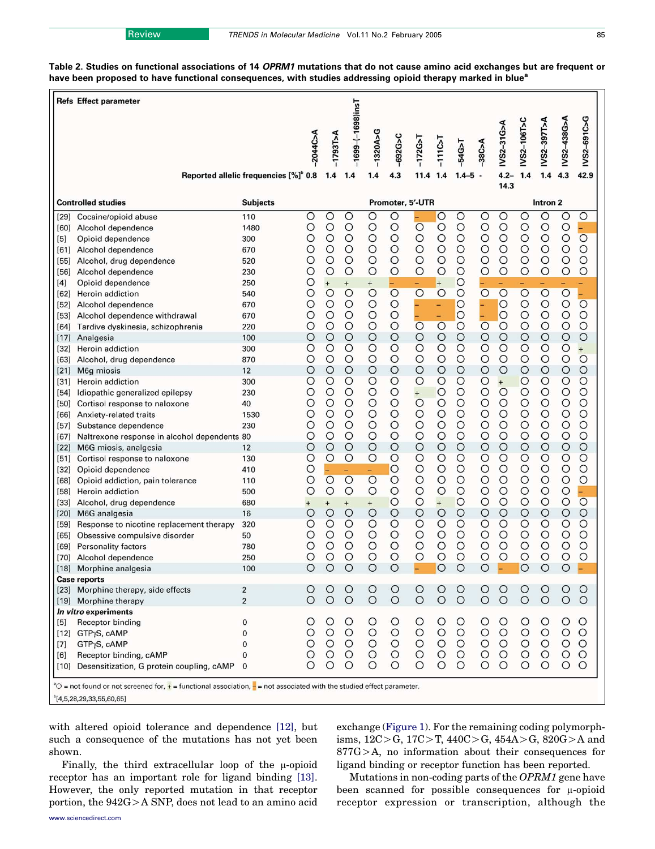<span id="page-3-0"></span>Table 2. Studies on functional associations of 14 OPRM1 mutations that do not cause amino acid exchanges but are frequent or have been proposed to have functional consequences, with studies addressing opioid therapy marked in blue<sup>a</sup>

|                                                                                                                                                                       | <b>Refs Effect parameter</b>                        |                                                   |              |                       |                              |                     |                    |                     |                     |                         |                                  |                               |                     |                    |                    |                     |
|-----------------------------------------------------------------------------------------------------------------------------------------------------------------------|-----------------------------------------------------|---------------------------------------------------|--------------|-----------------------|------------------------------|---------------------|--------------------|---------------------|---------------------|-------------------------|----------------------------------|-------------------------------|---------------------|--------------------|--------------------|---------------------|
|                                                                                                                                                                       |                                                     | Reported allelic frequencies [%] <sup>b</sup> 0.8 | $-2044C>$ A  | $A < 1893$ T>A<br>1.4 | $-1699 - (-1698)$ ins<br>1.4 | $-1320A > G$<br>1.4 | $-692G > C$<br>4.3 | $-172G > T$<br>11.4 | $-1110-7$<br>1.4    | $-54G > T$<br>$1.4 - 5$ | $-38CAA$<br>$\ddot{\phantom{a}}$ | IVS2-31G>A<br>$4.2 -$<br>14.3 | IVS2-106T>C<br>1.4  | IVS2-397T>A<br>1.4 | IVS2-438G>A<br>4.3 | IVS2-691C>G<br>42.9 |
|                                                                                                                                                                       | <b>Controlled studies</b>                           | <b>Subjects</b>                                   |              |                       | Promoter, 5'-UTR             |                     |                    |                     | Intron <sub>2</sub> |                         |                                  |                               |                     |                    |                    |                     |
| [29]                                                                                                                                                                  | Cocaine/opioid abuse                                | 110                                               | O            | O                     | $\circ$                      | $\circ$             | $\circ$            |                     | $\circ$             | O                       | $\circ$                          | $\circ$                       | $\overline{\circ}$  | $\circ$            | O                  | $\circ$             |
| [60]                                                                                                                                                                  | Alcohol dependence                                  | 1480                                              | O            | O                     | $\circ$                      | O                   | $\circ$            | $\circ$             | $\circ$             | $\circ$                 | $\circ$                          | $\circ$                       | $\circ$             | O                  | O                  | 4                   |
| [5]                                                                                                                                                                   | Opioid dependence                                   | 300                                               | O            | O                     | $\circ$                      | О                   | $\circ$            | $\circ$             | $\circ$             | $\circ$                 | $\circ$                          | $\circ$                       | $\circ$             | O                  | $\circ$            | $\circ$             |
| [61]                                                                                                                                                                  | Alcohol dependence                                  | 670                                               | С            | O                     | $\circ$                      | O                   | $\circ$            | $\circ$             | $\circ$             | O                       | O                                | $\circ$                       | $\circ$             | O                  | O                  | $\circ$             |
| [55]                                                                                                                                                                  | Alcohol, drug dependence                            | 520                                               | Ο            | O                     | $\circ$                      | O                   | $\circ$            | $\circ$             | $\circ$             | O                       | $\circ$                          | $\circ$                       | $\circ$             | O                  | $\circ$            | O                   |
| [56]                                                                                                                                                                  | Alcohol dependence                                  | 230                                               | O            | O                     | $\circ$                      | O                   | $\circ$            | $\circ$             | $\circ$             | O                       | $\circ$                          | $\circ$                       | $\circ$             | O                  | $\circ$            | O                   |
| [4]                                                                                                                                                                   | Opioid dependence                                   | 250                                               | С<br>$\circ$ | $^{+}$<br>$\circ$     | $+$<br>$\overline{O}$        | $+$<br>$\circ$      | $\overline{O}$     | -<br>$\circ$        | $+$<br>$\circ$      | $\circ$<br>$\circ$      | $\overline{O}$                   | $\overline{O}$                | ۰<br>$\overline{O}$ | $\circ$            | $\circ$            |                     |
| [62]                                                                                                                                                                  | Heroin addiction                                    | 540<br>670                                        | О            | O                     | $\circ$                      | $\circ$             | $\circ$            |                     |                     | $\circ$                 |                                  | $\circ$                       | $\circ$             | O                  | $\circ$            | $\circ$             |
| $[52]$<br>[53]                                                                                                                                                        | Alcohol dependence<br>Alcohol dependence withdrawal | 670                                               | Ο            | Ο                     | $\circ$                      | $\circ$             | $\circ$            |                     | -<br>$-$            | $\circ$                 |                                  | $\circ$                       | $\circ$             | O                  | $\circ$            | O                   |
| [64]                                                                                                                                                                  | Tardive dyskinesia, schizophrenia                   | 220                                               | О            | O                     | $\circ$                      | $\circ$             | $\circ$            | $\overline{O}$      | $\circ$             | $\circ$                 | $\overline{O}$                   | $\circ$                       | $\circ$             | О                  | $\circ$            | O                   |
| $[17]$                                                                                                                                                                | Analgesia                                           | 100                                               | Ο            | O                     | $\circ$                      | $\circ$             | $\circ$            | $\circ$             | $\circ$             | $\circ$                 | $\circ$                          | $\circ$                       | $\circ$             | O                  | $\circ$            | $\circ$             |
| [32]                                                                                                                                                                  | Heroin addiction                                    | 300                                               | О            | O                     | O                            | O                   | $\circ$            | $\circ$             | $\circ$             | O                       | $\circ$                          | $\circ$                       | $\circ$             | O                  | $\circ$            | $\ddot{}$           |
| [63]                                                                                                                                                                  | Alcohol, drug dependence                            | 870                                               | O            | O                     | $\circ$                      | O                   | $\circ$            | $\circ$             | $\circ$             | O                       | O                                | $\circ$                       | $\circ$             | O                  | O                  | $\circ$             |
| $[21]$                                                                                                                                                                | M6g miosis                                          | 12                                                | O            | O                     | $\circ$                      | $\circ$             | $\circ$            | $\circ$             | $\circ$             | $\circ$                 | $\circ$                          | $\circ$                       | $\circ$             | $\circ$            | $\circ$            | $\circ$             |
| [31]                                                                                                                                                                  | Heroin addiction                                    | 300                                               | О            | O                     | $\circ$                      | $\circ$             | $\circ$            | $\circ$             | $\circ$             | O                       | $\circ$                          | $\ddot{}$                     | $\circ$             | O                  | $\circ$            | $\circ$             |
| $[54]$                                                                                                                                                                | Idiopathic generalized epilepsy                     | 230                                               | Ο            | O                     | $\circ$                      | $\circ$             | $\circ$            | $+$                 | $\circ$             | O                       | $\circ$                          | $\circ$                       | $\circ$             | O                  | $\circ$            | O                   |
| $[50]$                                                                                                                                                                | Cortisol response to naloxone                       | 40                                                | С            | O                     | $\circ$                      | O                   | $\circ$            | $\circ$             | $\circ$             | О                       | O                                | $\circ$                       | $\circ$             | O                  | $\circ$            | O                   |
| [66]                                                                                                                                                                  | Anxiety-related traits                              | 1530                                              | Ο            | O                     | $\circ$                      | $\circ$             | $\circ$            | $\circ$             | $\circ$             | O                       | $\circ$                          | $\circ$                       | $\circ$             | O                  | $\circ$            | O                   |
| [57]                                                                                                                                                                  | Substance dependence                                | 230                                               | O            | O                     | $\circ$                      | $\circ$             | $\circ$            | $\circ$             | $\circ$             | O                       | $\circ$                          | $\circ$                       | $\circ$             | $\circ$            | $\circ$            | $\circ$             |
| [67]                                                                                                                                                                  | Naltrexone response in alcohol dependents 80        |                                                   | С            | О                     | $\circ$                      | O                   | $\circ$            | $\circ$             | $\circ$             | O                       | $\circ$                          | $\circ$                       | $\circ$             | O                  | $\circ$            | $\circ$             |
| $[22]$                                                                                                                                                                | M6G miosis, analgesia                               | 12                                                | O            | O                     | $\circ$                      | $\circ$             | $\circ$            | $\circ$             | $\circ$             | $\circ$                 | $\circ$                          | $\circ$                       | $\circ$             | $\circ$            | $\circ$            | $\circ$             |
| [51]                                                                                                                                                                  | Cortisol response to naloxone                       | 130                                               | О            | $\circ$               | O                            | $\circ$             | $\circ$            | $\circ$             | $\circ$             | O                       | $\circ$                          | $\circ$                       | $\circ$             | O                  | $\circ$            | $\circ$             |
| $[32]$                                                                                                                                                                | Opioid dependence                                   | 410                                               | O            |                       | ÷,                           |                     | $\circ$            | $\circ$             | $\circ$             | O                       | O                                | $\circ$                       | $\circ$             | O                  | $\circ$            | O                   |
| [68]                                                                                                                                                                  | Opioid addiction, pain tolerance                    | 110                                               | O            | $\circ$               | $\circ$                      | $\circ$             | $\circ$            | $\circ$             | O                   | О                       | O                                | $\circ$                       | $\circ$             | O                  | $\circ$            | O                   |
| $[58]$                                                                                                                                                                | Heroin addiction                                    | 500                                               | O            | O                     | $\circ$                      | O                   | $\circ$            | $\circ$             | $\circ$             | O                       | $\circ$                          | $\circ$                       | $\circ$             | O                  | $\circ$            | 4                   |
| $[33]$                                                                                                                                                                | Alcohol, drug dependence                            | 680                                               | $\ddot{}$    | $\overline{+}$        | $^{+}$                       | $^{+}$              | $\circ$            | $\circ$             | $\ddot{}$           | $\circ$                 | $\circ$                          | $\circ$                       | $\circ$             | $\circ$            | $\circ$            | $\overline{O}$      |
| $[20]$                                                                                                                                                                | M6G analgesia                                       | 16                                                | С            | $\circ$               | $\circ$                      | $\circ$             | $\circ$            | $\circ$             | $\circ$             | $\circ$                 | $\circ$                          | $\circ$                       | $\circ$             | O                  | $\circ$            | $\circ$             |
| $[59]$                                                                                                                                                                | Response to nicotine replacement therapy            | 320                                               | Ο            | $\circ$               | $\circ$                      | O                   | $\circ$            | $\circ$             | $\circ$             | O                       | $\circ$                          | $\circ$                       | $\circ$             | O                  | $\circ$            | $\circ$             |
| $[65]$                                                                                                                                                                | Obsessive compulsive disorder                       | 50                                                | С            | O                     | $\circ$                      | O                   | $\circ$            | $\circ$             | $\circ$             | $\circ$                 | $\circ$                          | $\circ$                       | $\circ$             | O                  | O                  | $\circ$             |
| [69]                                                                                                                                                                  | Personality factors                                 | 780                                               | С<br>O       | O<br>O                | $\circ$<br>$\circ$           | O<br>$\circ$        | O<br>$\circ$       | $\circ$<br>$\circ$  | $\circ$<br>$\circ$  | $\circ$<br>О            | O<br>$\circ$                     | $\circ$<br>$\circ$            | $\circ$<br>$\circ$  | O<br>O             | O<br>$\circ$       | $\circ$<br>$\circ$  |
| [70]                                                                                                                                                                  | Alcohol dependence                                  | 250                                               | ⌒            |                       |                              |                     |                    |                     | $\circ$             |                         | ⌒                                |                               | $\cap$              |                    | O                  |                     |
|                                                                                                                                                                       | [18] Morphine analgesia<br>Case reports             | 100                                               |              | $\circ$               |                              | $\circ$             | $\circ$            |                     |                     |                         |                                  |                               |                     |                    |                    |                     |
|                                                                                                                                                                       | [23] Morphine therapy, side effects                 | 2                                                 |              | $\circ$               | $\circ$                      | $\circ$             |                    |                     | $\circ$             | $\circ$                 |                                  | $\circ$                       | $\circ$             | O                  | $\circ$            | $\circ$             |
|                                                                                                                                                                       | [19] Morphine therapy                               | $\overline{2}$                                    | $\circ$      | $\circ$               | $\circ$                      | $\circ$             | $\frac{0}{0}$      | $\frac{0}{0}$       | $\circ$             | $\circ$                 | $\frac{0}{0}$                    | $\circ$                       | $\circ$             | $\circ$            | $\circ$            | $\circ$             |
|                                                                                                                                                                       | In vitro experiments                                |                                                   |              |                       |                              |                     |                    |                     |                     |                         |                                  |                               |                     |                    |                    |                     |
| [5]                                                                                                                                                                   | Receptor binding                                    | 0                                                 |              | O                     | O                            | O                   | $\circ$            | $\circ$             | O                   | $\circ$                 | O                                | O                             | $\circ$             | $\circ$            | O                  | O                   |
|                                                                                                                                                                       | [12] GTPyS, cAMP                                    | 0                                                 | O            | $\circ$               | $\circ$                      | $\circ$             | $\circ$            | $\circ$             | $\circ$             | $\circ$                 | $\circ$                          | $\circ$                       | $\circ$             | $\circ$            | $\circ$            | $\circ$             |
| $[7]$                                                                                                                                                                 | GTP <sub>Y</sub> S, cAMP                            | 0                                                 | $\circ$      | $\circ$               | $\circ$                      | $\circ$             | $\circ$            | $\circ$             | $\circ$             | $\circ$                 | $\bigcirc$                       | $\circ$                       | $\circ$             | $\circ$            | $\circ$            | $\circ$             |
| [6]                                                                                                                                                                   | Receptor binding, cAMP                              | 0                                                 | О            | O                     | O                            | $\circ$             | $\circ$            | $\circ$             | $\circ$             | $\circ$                 | $\circ$                          | $\circ$                       | $\circ$             | $\circ$            | $\circ$            | $\circ$             |
|                                                                                                                                                                       | [10] Desensitization, G protein coupling, cAMP      | $\mathbf 0$                                       | Ω            | O                     | O                            | O                   | Ο                  | $\circ$             | $\circ$             | $\circ$                 | O                                | O                             | $\circ$             | $\circ$            | $\circ$            | $\circ$             |
| $\textdegree$ = not found or not screened for, $\div$ = functional association, $\div$ = not associated with the studied effect parameter.<br>[4,5,28,29,33,55,60,65] |                                                     |                                                   |              |                       |                              |                     |                    |                     |                     |                         |                                  |                               |                     |                    |                    |                     |

with altered opioid tolerance and dependence [\[12\],](#page-6-0) but such a consequence of the mutations has not yet been shown.

Finally, the third extracellular loop of the  $\mu$ -opioid receptor has an important role for ligand binding [\[13\]](#page-6-0). However, the only reported mutation in that receptor portion, the  $942G > A$  SNP, does not lead to an amino acid exchange ([Figure 1](#page-1-0)). For the remaining coding polymorphisms,  $12C > G$ ,  $17C > T$ ,  $440C > G$ ,  $454A > G$ ,  $820G > A$  and  $877G$  $>A$ , no information about their consequences for ligand binding or receptor function has been reported.

Mutations in non-coding parts of the OPRM1 gene have been scanned for possible consequences for  $\mu$ -opioid receptor expression or transcription, although the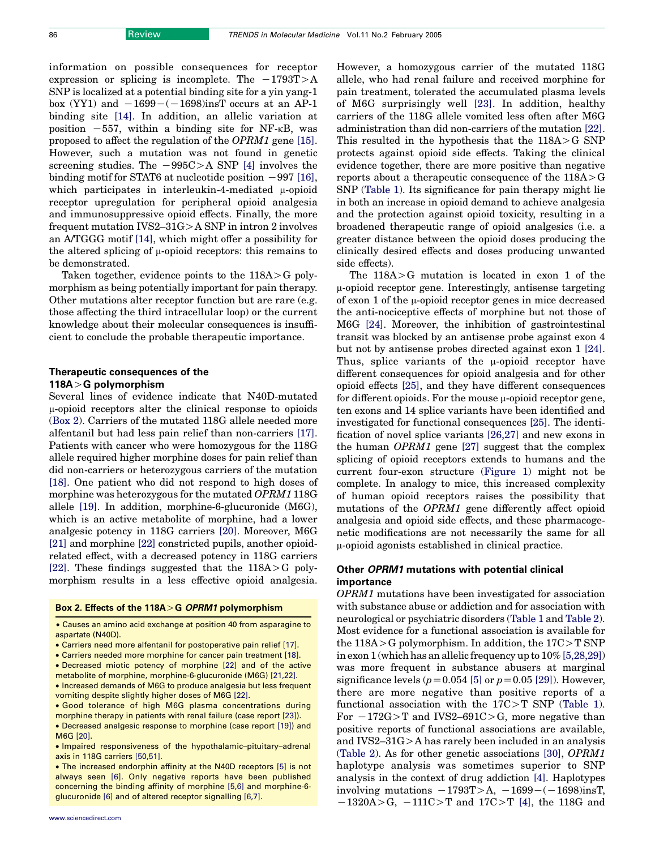information on possible consequences for receptor expression or splicing is incomplete. The  $-1793T>A$ SNP is localized at a potential binding site for a yin yang-1 box (YY1) and  $-1699-(-1698)$ insT occurs at an AP-1 binding site [\[14\].](#page-6-0) In addition, an allelic variation at position  $-557$ , within a binding site for NF- $\kappa$ B, was proposed to affect the regulation of the OPRM1 gene [\[15\]](#page-6-0). However, such a mutation was not found in genetic screening studies. The  $-995C>A$  SNP [\[4\]](#page-6-0) involves the binding motif for STAT6 at nucleotide position  $-997$  [\[16\]](#page-6-0), which participates in interleukin-4-mediated  $\mu$ -opioid receptor upregulation for peripheral opioid analgesia and immunosuppressive opioid effects. Finally, the more frequent mutation IVS2–31G $>$ A SNP in intron 2 involves an A/TGGG motif [\[14\]](#page-6-0), which might offer a possibility for the altered splicing of  $\mu$ -opioid receptors: this remains to be demonstrated.

Taken together, evidence points to the  $118A > G$  polymorphism as being potentially important for pain therapy. Other mutations alter receptor function but are rare (e.g. those affecting the third intracellular loop) or the current knowledge about their molecular consequences is insufficient to conclude the probable therapeutic importance.

# Therapeutic consequences of the 118A $>$ G polymorphism

Several lines of evidence indicate that N40D-mutated  $\mu$ -opioid receptors alter the clinical response to opioids (Box 2). Carriers of the mutated 118G allele needed more alfentanil but had less pain relief than non-carriers [\[17\]](#page-6-0). Patients with cancer who were homozygous for the 118G allele required higher morphine doses for pain relief than did non-carriers or heterozygous carriers of the mutation [\[18\].](#page-6-0) One patient who did not respond to high doses of morphine was heterozygous for the mutated OPRM1 118G allele [\[19\].](#page-6-0) In addition, morphine-6-glucuronide (M6G), which is an active metabolite of morphine, had a lower analgesic potency in 118G carriers [\[20\].](#page-6-0) Moreover, M6G [\[21\]](#page-6-0) and morphine [\[22\]](#page-6-0) constricted pupils, another opioidrelated effect, with a decreased potency in 118G carriers [\[22\].](#page-6-0) These findings suggested that the  $118A > G$  polymorphism results in a less effective opioid analgesia.

### Box 2. Effects of the  $118A > G$  OPRM1 polymorphism

† Causes an amino acid exchange at position 40 from asparagine to aspartate (N40D).

- † Carriers need more alfentanil for postoperative pain relief [\[17\].](#page-6-0)
- † Carriers needed more morphine for cancer pain treatment [\[18\]](#page-6-0).

• Decreased miotic potency of morphine [\[22\]](#page-6-0) and of the active

metabolite of morphine, morphine-6-glucuronide (M6G) [\[21,22\].](#page-6-0) † Increased demands of M6G to produce analgesia but less frequent vomiting despite slightly higher doses of M6G [\[22\].](#page-6-0)

† Good tolerance of high M6G plasma concentrations during morphine therapy in patients with renal failure (case report [\[23\]](#page-6-0)). † Decreased analgesic response to morphine (case report [\[19\]\)](#page-6-0) and M6G [\[20\]](#page-6-0).

• Impaired responsiveness of the hypothalamic-pituitary-adrenal axis in 118G carriers [\[50,51\].](#page-7-0)

• The increased endorphin affinity at the N40D receptors [\[5\]](#page-6-0) is not always seen [\[6\]](#page-6-0). Only negative reports have been published concerning the binding affinity of morphine [\[5,6\]](#page-6-0) and morphine-6 glucuronide [\[6\]](#page-6-0) and of altered receptor signalling [\[6,7\]](#page-6-0).

However, a homozygous carrier of the mutated 118G allele, who had renal failure and received morphine for pain treatment, tolerated the accumulated plasma levels of M6G surprisingly well [\[23\]](#page-6-0). In addition, healthy carriers of the 118G allele vomited less often after M6G administration than did non-carriers of the mutation [\[22\]](#page-6-0). This resulted in the hypothesis that the  $118A > G$  SNP protects against opioid side effects. Taking the clinical evidence together, there are more positive than negative reports about a therapeutic consequence of the  $118A > G$ SNP ([Table 1](#page-2-0)). Its significance for pain therapy might lie in both an increase in opioid demand to achieve analgesia and the protection against opioid toxicity, resulting in a broadened therapeutic range of opioid analgesics (i.e. a greater distance between the opioid doses producing the clinically desired effects and doses producing unwanted side effects).

The  $118A > G$  mutation is located in exon 1 of the m-opioid receptor gene. Interestingly, antisense targeting of exon 1 of the  $\mu$ -opioid receptor genes in mice decreased the anti-nociceptive effects of morphine but not those of M6G [\[24\].](#page-6-0) Moreover, the inhibition of gastrointestinal transit was blocked by an antisense probe against exon 4 but not by antisense probes directed against exon 1 [\[24\]](#page-6-0). Thus, splice variants of the  $\mu$ -opioid receptor have different consequences for opioid analgesia and for other opioid effects [\[25\]](#page-6-0), and they have different consequences for different opioids. For the mouse  $\mu$ -opioid receptor gene, ten exons and 14 splice variants have been identified and investigated for functional consequences [\[25\].](#page-6-0) The identification of novel splice variants [\[26,27\]](#page-7-0) and new exons in the human OPRM1 gene [\[27\]](#page-7-0) suggest that the complex splicing of opioid receptors extends to humans and the current four-exon structure ([Figure 1\)](#page-1-0) might not be complete. In analogy to mice, this increased complexity of human opioid receptors raises the possibility that mutations of the OPRM1 gene differently affect opioid analgesia and opioid side effects, and these pharmacogenetic modifications are not necessarily the same for all m-opioid agonists established in clinical practice.

# Other OPRM1 mutations with potential clinical importance

OPRM1 mutations have been investigated for association with substance abuse or addiction and for association with neurological or psychiatric disorders [\(Table 1](#page-2-0) and [Table 2](#page-3-0)). Most evidence for a functional association is available for the  $118A > G$  polymorphism. In addition, the  $17C > T$  SNP in exon 1 (which has an allelic frequency up to 10% [\[5,28,29\]\)](#page-6-0) was more frequent in substance abusers at marginal significance levels ( $p=0.054$  [\[5\]](#page-6-0) or  $p=0.05$  [\[29\]\)](#page-7-0). However, there are more negative than positive reports of a functional association with the  $17C>T$  SNP [\(Table 1](#page-2-0)). For  $-172G>T$  and IVS2–691C>G, more negative than positive reports of functional associations are available, and IVS2– $31G$  > A has rarely been included in an analysis ([Table 2\)](#page-3-0). As for other genetic associations [\[30\],](#page-7-0) OPRM1 haplotype analysis was sometimes superior to SNP analysis in the context of drug addiction [\[4\]](#page-6-0). Haplotypes involving mutations  $-1793T>A$ ,  $-1699-(-1698)$ insT,  $-1320A > G$ ,  $-111C > T$  and  $17C > T$  [\[4\],](#page-6-0) the 118G and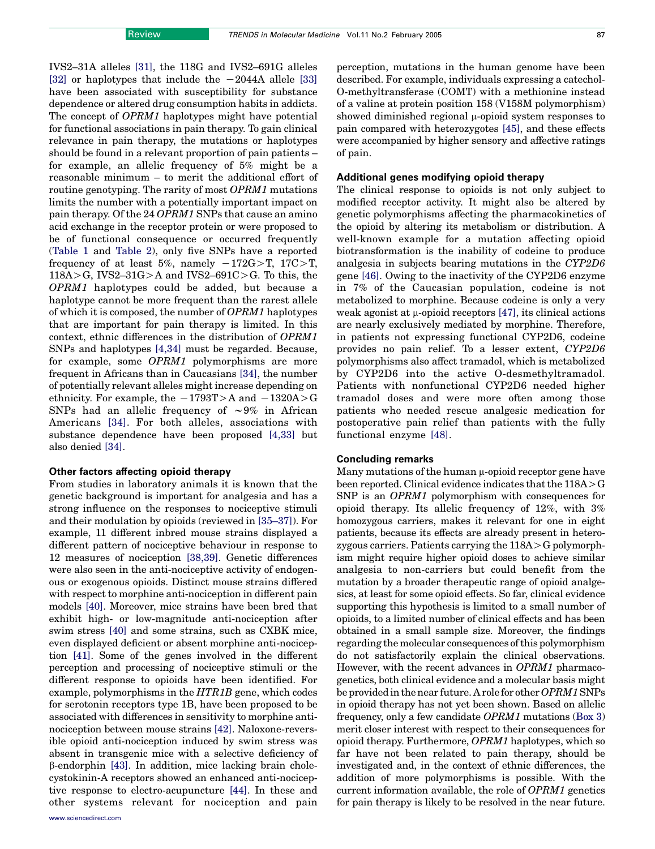IVS2–31A alleles [\[31\],](#page-7-0) the 118G and IVS2–691G alleles [\[32\]](#page-7-0) or haplotypes that include the  $-2044A$  allele [\[33\]](#page-7-0) have been associated with susceptibility for substance dependence or altered drug consumption habits in addicts. The concept of OPRM1 haplotypes might have potential for functional associations in pain therapy. To gain clinical relevance in pain therapy, the mutations or haplotypes should be found in a relevant proportion of pain patients – for example, an allelic frequency of 5% might be a reasonable minimum – to merit the additional effort of routine genotyping. The rarity of most OPRM1 mutations limits the number with a potentially important impact on pain therapy. Of the 24 OPRM1 SNPs that cause an amino acid exchange in the receptor protein or were proposed to be of functional consequence or occurred frequently ([Table 1](#page-2-0) and [Table 2\)](#page-3-0), only five SNPs have a reported frequency of at least 5%, namely  $-172G>T$ ,  $17C>T$ ,  $118A > G$ , IVS2-31G $> A$  and IVS2-691C $> G$ . To this, the OPRM1 haplotypes could be added, but because a haplotype cannot be more frequent than the rarest allele of which it is composed, the number of OPRM1 haplotypes that are important for pain therapy is limited. In this context, ethnic differences in the distribution of OPRM1 SNPs and haplotypes [\[4,34\]](#page-6-0) must be regarded. Because, for example, some OPRM1 polymorphisms are more frequent in Africans than in Caucasians [\[34\],](#page-7-0) the number of potentially relevant alleles might increase depending on ethnicity. For example, the  $-1793T>A$  and  $-1320A>G$ SNPs had an allelic frequency of  $\sim 9\%$  in African Americans [\[34\]](#page-7-0). For both alleles, associations with substance dependence have been proposed [\[4,33\]](#page-6-0) but also denied [\[34\].](#page-7-0)

#### Other factors affecting opioid therapy

From studies in laboratory animals it is known that the genetic background is important for analgesia and has a strong influence on the responses to nociceptive stimuli and their modulation by opioids (reviewed in [\[35–37\]\)](#page-7-0). For example, 11 different inbred mouse strains displayed a different pattern of nociceptive behaviour in response to 12 measures of nociception [\[38,39\]](#page-7-0). Genetic differences were also seen in the anti-nociceptive activity of endogenous or exogenous opioids. Distinct mouse strains differed with respect to morphine anti-nociception in different pain models [\[40\].](#page-7-0) Moreover, mice strains have been bred that exhibit high- or low-magnitude anti-nociception after swim stress [\[40\]](#page-7-0) and some strains, such as CXBK mice, even displayed deficient or absent morphine anti-nociception [\[41\].](#page-7-0) Some of the genes involved in the different perception and processing of nociceptive stimuli or the different response to opioids have been identified. For example, polymorphisms in the HTR1B gene, which codes for serotonin receptors type 1B, have been proposed to be associated with differences in sensitivity to morphine antinociception between mouse strains [\[42\].](#page-7-0) Naloxone-reversible opioid anti-nociception induced by swim stress was absent in transgenic mice with a selective deficiency of b-endorphin [\[43\].](#page-7-0) In addition, mice lacking brain cholecystokinin-A receptors showed an enhanced anti-nociceptive response to electro-acupuncture [\[44\]](#page-7-0). In these and other systems relevant for nociception and pain perception, mutations in the human genome have been described. For example, individuals expressing a catechol-O-methyltransferase (COMT) with a methionine instead of a valine at protein position 158 (V158M polymorphism) showed diminished regional  $\mu$ -opioid system responses to pain compared with heterozygotes [\[45\]](#page-7-0), and these effects were accompanied by higher sensory and affective ratings of pain.

#### Additional genes modifying opioid therapy

The clinical response to opioids is not only subject to modified receptor activity. It might also be altered by genetic polymorphisms affecting the pharmacokinetics of the opioid by altering its metabolism or distribution. A well-known example for a mutation affecting opioid biotransformation is the inability of codeine to produce analgesia in subjects bearing mutations in the CYP2D6 gene [\[46\].](#page-7-0) Owing to the inactivity of the CYP2D6 enzyme in 7% of the Caucasian population, codeine is not metabolized to morphine. Because codeine is only a very weak agonist at  $\mu$ -opioid receptors [\[47\],](#page-7-0) its clinical actions are nearly exclusively mediated by morphine. Therefore, in patients not expressing functional CYP2D6, codeine provides no pain relief. To a lesser extent, CYP2D6 polymorphisms also affect tramadol, which is metabolized by CYP2D6 into the active O-desmethyltramadol. Patients with nonfunctional CYP2D6 needed higher tramadol doses and were more often among those patients who needed rescue analgesic medication for postoperative pain relief than patients with the fully functional enzyme [\[48\].](#page-7-0)

# Concluding remarks

Many mutations of the human  $\mu$ -opioid receptor gene have been reported. Clinical evidence indicates that the  $118A > G$ SNP is an OPRM1 polymorphism with consequences for opioid therapy. Its allelic frequency of 12%, with 3% homozygous carriers, makes it relevant for one in eight patients, because its effects are already present in heterozygous carriers. Patients carrying the  $118A > G$  polymorphism might require higher opioid doses to achieve similar analgesia to non-carriers but could benefit from the mutation by a broader therapeutic range of opioid analgesics, at least for some opioid effects. So far, clinical evidence supporting this hypothesis is limited to a small number of opioids, to a limited number of clinical effects and has been obtained in a small sample size. Moreover, the findings regarding the molecular consequences of this polymorphism do not satisfactorily explain the clinical observations. However, with the recent advances in OPRM1 pharmacogenetics, both clinical evidence and a molecular basis might be provided in the near future. A role for other OPRM1 SNPs in opioid therapy has not yet been shown. Based on allelic frequency, only a few candidate OPRM1 mutations (Box 3) merit closer interest with respect to their consequences for opioid therapy. Furthermore, OPRM1 haplotypes, which so far have not been related to pain therapy, should be investigated and, in the context of ethnic differences, the addition of more polymorphisms is possible. With the current information available, the role of OPRM1 genetics for pain therapy is likely to be resolved in the near future.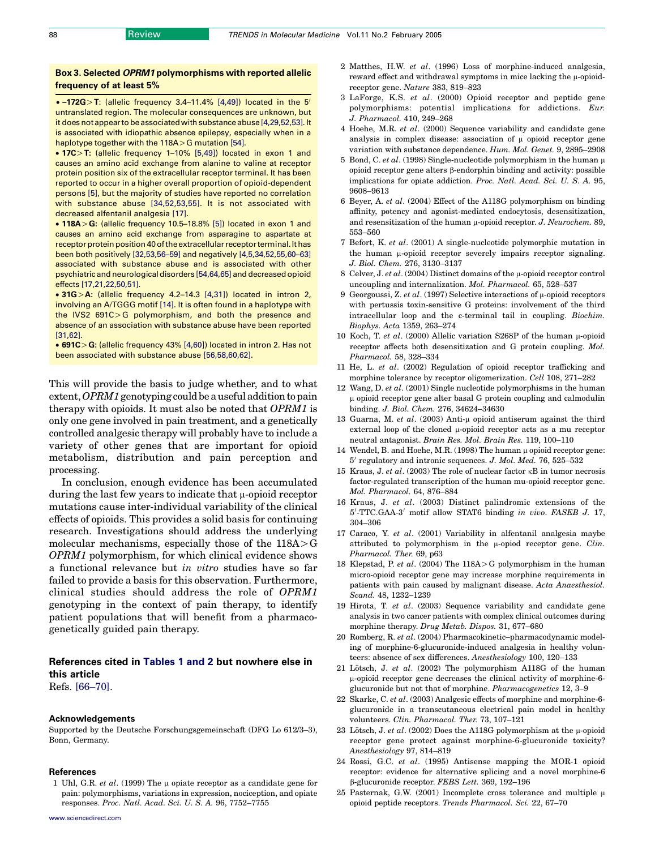# <span id="page-6-0"></span>Box 3. Selected OPRM1 polymorphisms with reported allelic frequency of at least 5%

 $\bullet$  –172G > T: (allelic frequency 3.4–11.4% [4,49]) located in the 5' untranslated region. The molecular consequences are unknown, but it does notappear tobeassociatedwith substanceabuse[4,29,52,53]. It is associated with idiopathic absence epilepsy, especially when in a haplotype together with the  $118A > G$  mutation [\[54\]](#page-7-0).

 $\bullet$  17C $>$ T: (allelic frequency 1–10% [5,49]) located in exon 1 and causes an amino acid exchange from alanine to valine at receptor protein position six of the extracellular receptor terminal. It has been reported to occur in a higher overall proportion of opioid-dependent persons [5], but the majority of studies have reported no correlation with substance abuse [\[34,52,53,55\].](#page-7-0) It is not associated with decreased alfentanil analgesia [17].

 $\bullet$  118A > G: (allelic frequency 10.5–18.8% [5]) located in exon 1 and causes an amino acid exchange from asparagine to aspartate at receptor protein position 40 of the extracellular receptor terminal. It has been both positively [\[32,53,56–59\]](#page-7-0) and negatively [4,5,34,52,55,60–63] associated with substance abuse and is associated with other psychiatric and neurological disorders [\[54,64,65\]](#page-7-0) and decreasedopioid effects [17,21,22,50,51].

 $\bullet$  31G > A: (allelic frequency 4.2–14.3 [4,31]) located in intron 2, involving an A/TGGG motif [14]. It is often found in a haplotype with the IVS2  $691C > G$  polymorphism, and both the presence and absence of an association with substance abuse have been reported [\[31,62\]](#page-7-0).

 $\bullet$  691C $>$ G: (allelic frequency 43% [4,60]) located in intron 2. Has not been associated with substance abuse [\[56,58,60,62\].](#page-7-0)

This will provide the basis to judge whether, and to what extent,OPRM1genotyping could be a useful addition to pain therapy with opioids. It must also be noted that OPRM1 is only one gene involved in pain treatment, and a genetically controlled analgesic therapy will probably have to include a variety of other genes that are important for opioid metabolism, distribution and pain perception and processing.

In conclusion, enough evidence has been accumulated during the last few years to indicate that  $\mu$ -opioid receptor mutations cause inter-individual variability of the clinical effects of opioids. This provides a solid basis for continuing research. Investigations should address the underlying molecular mechanisms, especially those of the  $118A > G$ OPRM1 polymorphism, for which clinical evidence shows a functional relevance but in vitro studies have so far failed to provide a basis for this observation. Furthermore, clinical studies should address the role of OPRM1 genotyping in the context of pain therapy, to identify patient populations that will benefit from a pharmacogenetically guided pain therapy.

# References cited in [Tables 1 and 2](#page-2-0) but nowhere else in this article

Refs. [\[66–70\].](#page-7-0)

#### Acknowledgements

Supported by the Deutsche Forschungsgemeinschaft (DFG Lo 612/3–3), Bonn, Germany.

#### References

1 Uhl, G.R. et al. (1999) The  $\mu$  opiate receptor as a candidate gene for pain: polymorphisms, variations in expression, nociception, and opiate responses. Proc. Natl. Acad. Sci. U. S. A. 96, 7752–7755

- 2 Matthes, H.W. et al. (1996) Loss of morphine-induced analgesia, reward effect and withdrawal symptoms in mice lacking the u-opioidreceptor gene. Nature 383, 819–823
- 3 LaForge, K.S. et al. (2000) Opioid receptor and peptide gene polymorphisms: potential implications for addictions. Eur. J. Pharmacol. 410, 249–268
- 4 Hoehe, M.R. et al. (2000) Sequence variability and candidate gene analysis in complex disease: association of u opioid receptor gene variation with substance dependence. Hum. Mol. Genet. 9, 2895–2908
- 5 Bond, C. et al. (1998) Single-nucleotide polymorphism in the human  $\mu$ opioid receptor gene alters  $\beta$ -endorphin binding and activity: possible implications for opiate addiction. Proc. Natl. Acad. Sci. U. S. A. 95, 9608–9613
- 6 Beyer, A. et al. (2004) Effect of the A118G polymorphism on binding affinity, potency and agonist-mediated endocytosis, desensitization, and resensitization of the human  $\mu$ -opioid receptor. J. Neurochem. 89, 553–560
- 7 Befort, K. et al. (2001) A single-nucleotide polymorphic mutation in the human u-opioid receptor severely impairs receptor signaling. J. Biol. Chem. 276, 3130–3137
- 8 Celver, J. et al. (2004) Distinct domains of the  $\mu$ -opioid receptor control uncoupling and internalization. Mol. Pharmacol. 65, 528–537
- 9 Georgoussi, Z. et al. (1997) Selective interactions of  $\mu$ -opioid receptors with pertussis toxin-sensitive G proteins: involvement of the third intracellular loop and the c-terminal tail in coupling. Biochim. Biophys. Acta 1359, 263–274
- 10 Koch, T. et al. (2000) Allelic variation S268P of the human  $\mu$ -opioid receptor affects both desensitization and G protein coupling. Mol. Pharmacol. 58, 328–334
- 11 He, L. et al. (2002) Regulation of opioid receptor trafficking and morphine tolerance by receptor oligomerization. Cell 108, 271–282
- 12 Wang, D. et al. (2001) Single nucleotide polymorphisms in the human  $\mu$  opioid receptor gene alter basal G protein coupling and calmodulin binding. J. Biol. Chem. 276, 34624–34630
- 13 Guarna, M. et al.  $(2003)$  Anti-u opioid antiserum against the third external loop of the cloned  $\mu$ -opioid receptor acts as a mu receptor neutral antagonist. Brain Res. Mol. Brain Res. 119, 100–110
- 14 Wendel, B. and Hoehe, M.R. (1998) The human  $\mu$  opioid receptor gene:  $5'$  regulatory and intronic sequences. J. Mol. Med. 76, 525–532
- 15 Kraus, J. et al. (2003) The role of nuclear factor  $\kappa$ B in tumor necrosis factor-regulated transcription of the human mu-opioid receptor gene. Mol. Pharmacol. 64, 876–884
- 16 Kraus, J. et al. (2003) Distinct palindromic extensions of the 5'-TTC.GAA-3' motif allow STAT6 binding in vivo. FASEB J. 17, 304–306
- 17 Caraco, Y. et al. (2001) Variability in alfentanil analgesia maybe attributed to polymorphism in the  $\mu$ -opiod receptor gene. Clin. Pharmacol. Ther. 69, p63
- 18 Klepstad, P. et al. (2004) The  $118A > G$  polymorphism in the human micro-opioid receptor gene may increase morphine requirements in patients with pain caused by malignant disease. Acta Anaesthesiol. Scand. 48, 1232–1239
- 19 Hirota, T. et al. (2003) Sequence variability and candidate gene analysis in two cancer patients with complex clinical outcomes during morphine therapy. Drug Metab. Dispos. 31, 677–680
- 20 Romberg, R. et al. (2004) Pharmacokinetic–pharmacodynamic modeling of morphine-6-glucuronide-induced analgesia in healthy volunteers: absence of sex differences. Anesthesiology 100, 120–133
- 21 Lötsch, J. et al.  $(2002)$  The polymorphism A118G of the human m-opioid receptor gene decreases the clinical activity of morphine-6 glucuronide but not that of morphine. Pharmacogenetics 12, 3–9
- 22 Skarke, C. et al. (2003) Analgesic effects of morphine and morphine-6 glucuronide in a transcutaneous electrical pain model in healthy volunteers. Clin. Pharmacol. Ther. 73, 107–121
- 23 Lötsch, J. et al. (2002) Does the A118G polymorphism at the  $\mu$ -opioid receptor gene protect against morphine-6-glucuronide toxicity? Anesthesiology 97, 814–819
- 24 Rossi, G.C. et al. (1995) Antisense mapping the MOR-1 opioid receptor: evidence for alternative splicing and a novel morphine-6 b-glucuronide receptor. FEBS Lett. 369, 192–196
- 25 Pasternak, G.W. (2001) Incomplete cross tolerance and multiple  $\mu$ opioid peptide receptors. Trends Pharmacol. Sci. 22, 67–70